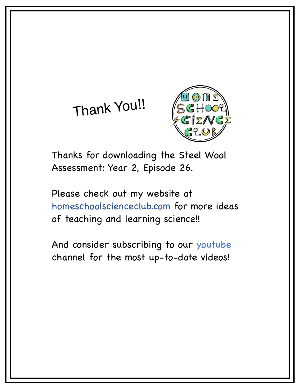# Thank You!!



Thanks for downloading the Steel Wool Assessment: Year 2, Episode 26.

Please check out my website at homeschoolscienceclub.com for more ideas of teaching and learning science!!

And consider subscribing to our youtube channel for the most up-to-date videos!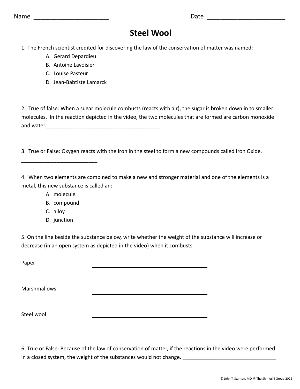| Name |  |  |
|------|--|--|
|------|--|--|

## **Steel Wool**

 $Date$  and  $A$  and  $B$  and  $B$  and  $B$  and  $B$  and  $B$  and  $B$  and  $B$  and  $B$  and  $B$  and  $B$  and  $B$  and  $B$  and  $B$  and  $B$  and  $B$  and  $B$  and  $B$  and  $B$  and  $B$  and  $B$  and  $B$  and  $B$  and  $B$  and  $B$  and  $B$  and  $B$  an

1. The French scientist credited for discovering the law of the conservation of matter was named:

- A. Gerard Depardieu
- B. Antoine Lavoisier
- C. Louise Pasteur
- D. Jean-Babtiste Lamarck

2. True of false: When a sugar molecule combusts (reacts with air), the sugar is broken down in to smaller molecules. In the reaction depicted in the video, the two molecules that are formed are carbon monoxide and water.\_\_\_\_\_\_\_\_\_\_\_\_\_\_\_\_\_\_\_\_\_\_\_\_\_\_\_\_\_\_\_\_\_\_\_\_\_\_\_

3. True or False: Oxygen reacts with the Iron in the steel to form a new compounds called Iron Oxide.

4. When two elements are combined to make a new and stronger material and one of the elements is a metal, this new substance is called an:

A. molecule

\_\_\_\_\_\_\_\_\_\_\_\_\_\_\_\_\_\_\_\_\_\_\_\_\_\_

- B. compound
- C. alloy
- D. junction

5. On the line beside the substance below, write whether the weight of the substance will increase or decrease (in an open system as depicted in the video) when it combusts.

Paper

Marshmallows

Steel wool

6: True or False: Because of the law of conservation of matter, if the reactions in the video were performed in a closed system, the weight of the substances would not change.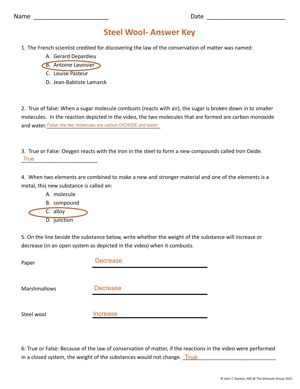### **Steel Wool- Answer Key**

- 1. The French scientist credited for discovering the law of the conservation of matter was named:
	- A. Gerard Depardieu
	- B. Antoine Lavoisier
		- C. Louise Pasteur
		- D. Jean-Babtiste Lamarck

2. True of false: When a sugar molecule combusts (reacts with air), the sugar is broken down in to smaller molecules. In the reaction depicted in the video, the two molecules that are formed are carbon monoxide and water. False: the two molecules are carbon DIOXIDE and water

3. True or False: Oxygen reacts with the Iron in the steel to form a new compounds called Iron Oxide. \_\_\_\_\_\_\_\_\_\_\_\_\_\_\_\_\_\_\_\_\_\_\_\_\_\_ True

4. When two elements are combined to make a new and stronger material and one of the elements is a metal, this new substance is called an:



5. On the line beside the substance below, write whether the weight of the substance will increase or decrease (in an open system as depicted in the video) when it combusts.

| Paper        | <b>Decrease</b> |
|--------------|-----------------|
|              |                 |
| Marshmallows | <b>Decrease</b> |
|              |                 |
| Steel wool   | <b>Increase</b> |

6: True or False: Because of the law of conservation of matter, if the reactions in the video were performed in a closed system, the weight of the substances would not change. \_\_\_\_\_\_\_\_\_\_\_\_\_\_\_\_\_\_\_\_\_\_\_\_\_\_\_\_\_\_\_\_ True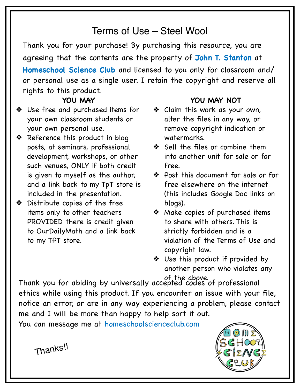## Terms of Use – Steel Wool

Thank you for your purchase! By purchasing this resource, you are agreeing that the contents are the property of **John T. Stanton** at **Homeschool Science Club** and licensed to you only for classroom and/ or personal use as a single user. I retain the copyright and reserve all rights to this product.

#### **YOU MAY**

- ❖ Use free and purchased items for your own classroom students or your own personal use.
- ❖ Reference this product in blog posts, at seminars, professional development, workshops, or other such venues, ONLY if both credit is given to myself as the author, and a link back to my TpT store is included in the presentation.
- ❖ Distribute copies of the free items only to other teachers PROVIDED there is credit given to OurDailyMath and a link back to my TPT store.

#### **YOU MAY NOT**

- ❖ Claim this work as your own, alter the files in any way, or remove copyright indication or watermarks.
- ❖ Sell the files or combine them into another unit for sale or for free.
- ❖ Post this document for sale or for free elsewhere on the internet (this includes Google Doc links on blogs).
- ❖ Make copies of purchased items to share with others. This is strictly forbidden and is a violation of the Terms of Use and copyright law.
- ❖ Use this product if provided by another person who violates any

Thank you for abiding by universally accepted codes of professional ethics while using this product. If you encounter an issue with your file, notice an error, or are in any way experiencing a problem, please contact me and I will be more than happy to help sort it out. of the above.

You can message me at homeschoolscienceclub.com



Thanks!!